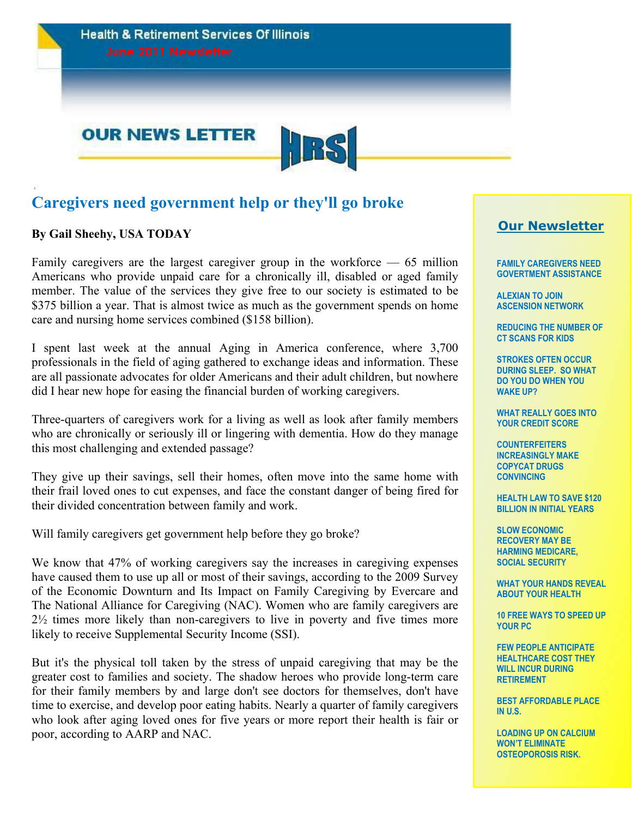

## **Caregivers need government help or they'll go broke**

### **By Gail Sheehy, USA TODAY**

Family caregivers are the largest caregiver group in the workforce  $-65$  million Americans who provide unpaid care for a chronically ill, disabled or aged family member. The value of the services they give free to our society is estimated to be \$375 billion a year. That is almost twice as much as the government spends on home care and nursing home services combined (\$158 billion).

I spent last week at the annual Aging in America conference, where 3,700 professionals in the field of aging gathered to exchange ideas and information. These are all passionate advocates for older Americans and their adult children, but nowhere did I hear new hope for easing the financial burden of working caregivers.

Three-quarters of caregivers work for a living as well as look after family members who are chronically or seriously ill or lingering with dementia. How do they manage this most challenging and extended passage?

They give up their savings, sell their homes, often move into the same home with their frail loved ones to cut expenses, and face the constant danger of being fired for their divided concentration between family and work.

Will family caregivers get government help before they go broke?

We know that 47% of working caregivers say the increases in caregiving expenses have caused them to use up all or most of their savings, according to the 2009 Survey of the Economic Downturn and Its Impact on Family Caregiving by Evercare and The National Alliance for Caregiving (NAC). Women who are family caregivers are 2½ times more likely than non-caregivers to live in poverty and five times more likely to receive Supplemental Security Income (SSI).

But it's the physical toll taken by the stress of unpaid caregiving that may be the greater cost to families and society. The shadow heroes who provide long-term care for their family members by and large don't see doctors for themselves, don't have time to exercise, and develop poor eating habits. Nearly a quarter of family caregivers who look after aging loved ones for five years or more report their health is fair or poor, according to AARP and NAC.

## **Our Newsletter**

**FAMILY CAREGIVERS NEED GOVERTMENT ASSISTANCE** 

**ALEXIAN TO JOIN ASCENSION NETWORK** 

**REDUCING THE NUMBER OF CT SCANS FOR KIDS** 

**STROKES OFTEN OCCUR DURING SLEEP. SO WHAT DO YOU DO WHEN YOU WAKE UP?** 

**WHAT REALLY GOES INTO YOUR CREDIT SCORE** 

**COUNTERFEITERS INCREASINGLY MAKE COPYCAT DRUGS CONVINCING** 

**HEALTH LAW TO SAVE \$120 BILLION IN INITIAL YEARS** 

**SLOW ECONOMIC RECOVERY MAY BE HARMING MEDICARE, SOCIAL SECURITY** 

**WHAT YOUR HANDS REVEAL ABOUT YOUR HEALTH** 

**10 FREE WAYS TO SPEED UP YOUR PC** 

**FEW PEOPLE ANTICIPATE HEALTHCARE COST THEY WILL INCUR DURING RETIREMENT** 

**BEST AFFORDABLE PLACE IN U.S.** 

**LOADING UP ON CALCIUM WON'T ELIMINATE OSTEOPOROSIS RISK.**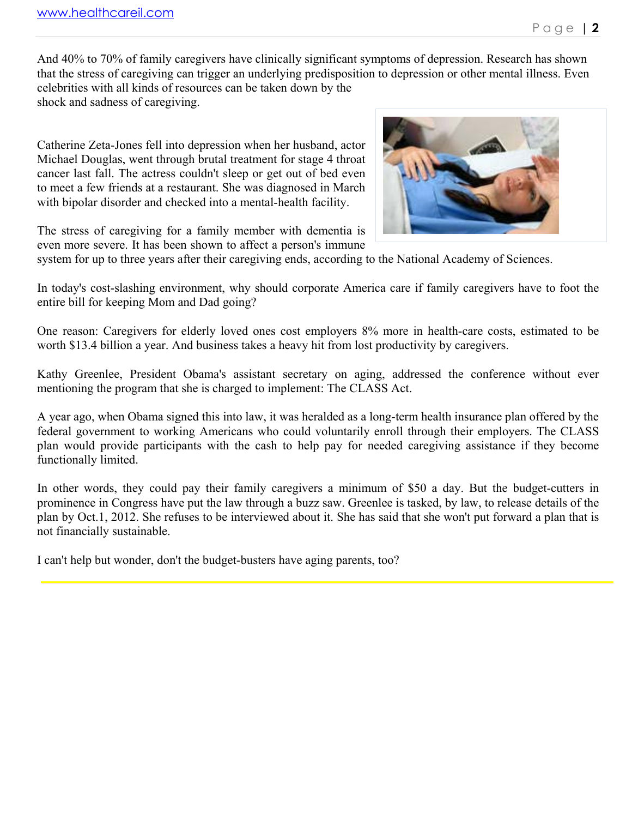And 40% to 70% of family caregivers have clinically significant symptoms of depression. Research has shown that the stress of caregiving can trigger an underlying predisposition to depression or other mental illness. Even celebrities with all kinds of resources can be taken down by the shock and sadness of caregiving.

Catherine Zeta-Jones fell into depression when her husband, actor Michael Douglas, went through brutal treatment for stage 4 throat cancer last fall. The actress couldn't sleep or get out of bed even to meet a few friends at a restaurant. She was diagnosed in March with bipolar disorder and checked into a mental-health facility.

The stress of caregiving for a family member with dementia is even more severe. It has been shown to affect a person's immune



system for up to three years after their caregiving ends, according to the National Academy of Sciences.

In today's cost-slashing environment, why should corporate America care if family caregivers have to foot the entire bill for keeping Mom and Dad going?

One reason: Caregivers for elderly loved ones cost employers 8% more in health-care costs, estimated to be worth \$13.4 billion a year. And business takes a heavy hit from lost productivity by caregivers.

Kathy Greenlee, President Obama's assistant secretary on aging, addressed the conference without ever mentioning the program that she is charged to implement: The CLASS Act.

A year ago, when Obama signed this into law, it was heralded as a long-term health insurance plan offered by the federal government to working Americans who could voluntarily enroll through their employers. The CLASS plan would provide participants with the cash to help pay for needed caregiving assistance if they become functionally limited.

In other words, they could pay their family caregivers a minimum of \$50 a day. But the budget-cutters in prominence in Congress have put the law through a buzz saw. Greenlee is tasked, by law, to release details of the plan by Oct.1, 2012. She refuses to be interviewed about it. She has said that she won't put forward a plan that is not financially sustainable.

I can't help but wonder, don't the budget-busters have aging parents, too?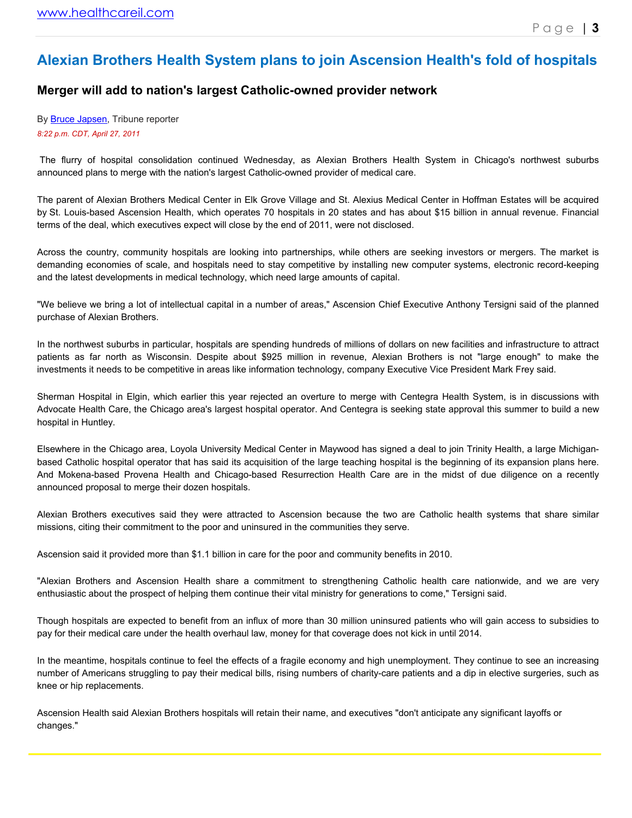## **Alexian Brothers Health System plans to join Ascension Health's fold of hospitals**

### **Merger will add to nation's largest Catholic-owned provider network**

By **Bruce Japsen**, Tribune reporter *8:22 p.m. CDT, April 27, 2011* 

The flurry of hospital consolidation continued Wednesday, as Alexian Brothers Health System in Chicago's northwest suburbs announced plans to merge with the nation's largest Catholic-owned provider of medical care.

The parent of Alexian Brothers Medical Center in Elk Grove Village and St. Alexius Medical Center in Hoffman Estates will be acquired by St. Louis-based Ascension Health, which operates 70 hospitals in 20 states and has about \$15 billion in annual revenue. Financial terms of the deal, which executives expect will close by the end of 2011, were not disclosed.

Across the country, community hospitals are looking into partnerships, while others are seeking investors or mergers. The market is demanding economies of scale, and hospitals need to stay competitive by installing new computer systems, electronic record-keeping and the latest developments in medical technology, which need large amounts of capital.

"We believe we bring a lot of intellectual capital in a number of areas," Ascension Chief Executive Anthony Tersigni said of the planned purchase of Alexian Brothers.

In the northwest suburbs in particular, hospitals are spending hundreds of millions of dollars on new facilities and infrastructure to attract patients as far north as Wisconsin. Despite about \$925 million in revenue, Alexian Brothers is not "large enough" to make the investments it needs to be competitive in areas like information technology, company Executive Vice President Mark Frey said.

Sherman Hospital in Elgin, which earlier this year rejected an overture to merge with Centegra Health System, is in discussions with Advocate Health Care, the Chicago area's largest hospital operator. And Centegra is seeking state approval this summer to build a new hospital in Huntley.

Elsewhere in the Chicago area, Loyola University Medical Center in Maywood has signed a deal to join Trinity Health, a large Michiganbased Catholic hospital operator that has said its acquisition of the large teaching hospital is the beginning of its expansion plans here. And Mokena-based Provena Health and Chicago-based Resurrection Health Care are in the midst of due diligence on a recently announced proposal to merge their dozen hospitals.

Alexian Brothers executives said they were attracted to Ascension because the two are Catholic health systems that share similar missions, citing their commitment to the poor and uninsured in the communities they serve.

Ascension said it provided more than \$1.1 billion in care for the poor and community benefits in 2010.

"Alexian Brothers and Ascension Health share a commitment to strengthening Catholic health care nationwide, and we are very enthusiastic about the prospect of helping them continue their vital ministry for generations to come," Tersigni said.

Though hospitals are expected to benefit from an influx of more than 30 million uninsured patients who will gain access to subsidies to pay for their medical care under the health overhaul law, money for that coverage does not kick in until 2014.

In the meantime, hospitals continue to feel the effects of a fragile economy and high unemployment. They continue to see an increasing number of Americans struggling to pay their medical bills, rising numbers of charity-care patients and a dip in elective surgeries, such as knee or hip replacements.

Ascension Health said Alexian Brothers hospitals will retain their name, and executives "don't anticipate any significant layoffs or changes."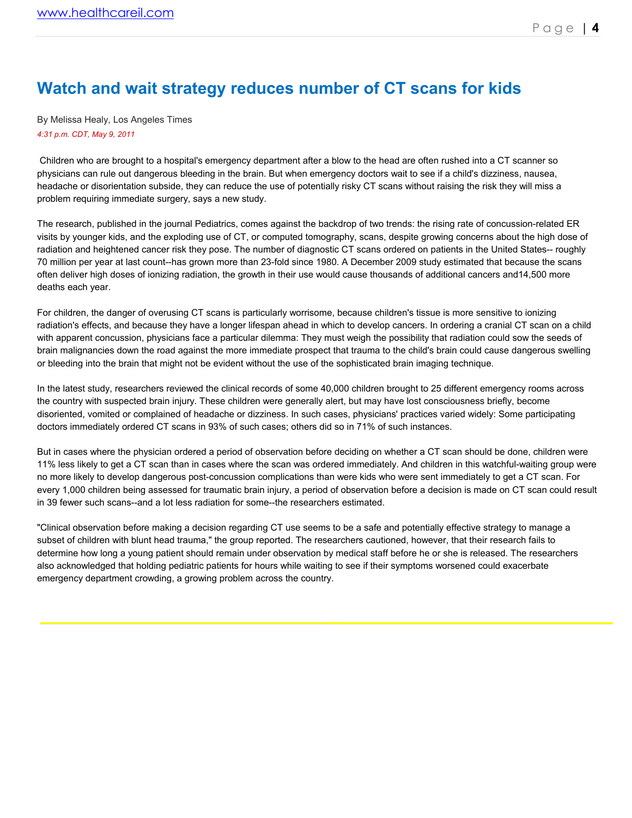## **Watch and wait strategy reduces number of CT scans for kids**

By Melissa Healy, Los Angeles Times *4:31 p.m. CDT, May 9, 2011* 

 Children who are brought to a hospital's emergency department after a blow to the head are often rushed into a CT scanner so physicians can rule out dangerous bleeding in the brain. But when emergency doctors wait to see if a child's dizziness, nausea, headache or disorientation subside, they can reduce the use of potentially risky CT scans without raising the risk they will miss a problem requiring immediate surgery, says a new study.

The research, published in the journal Pediatrics, comes against the backdrop of two trends: the rising rate of concussion-related ER visits by younger kids, and the exploding use of CT, or computed tomography, scans, despite growing concerns about the high dose of radiation and heightened cancer risk they pose. The number of diagnostic CT scans ordered on patients in the United States-- roughly 70 million per year at last count--has grown more than 23-fold since 1980. A December 2009 study estimated that because the scans often deliver high doses of ionizing radiation, the growth in their use would cause thousands of additional cancers and14,500 more deaths each year.

For children, the danger of overusing CT scans is particularly worrisome, because children's tissue is more sensitive to ionizing radiation's effects, and because they have a longer lifespan ahead in which to develop cancers. In ordering a cranial CT scan on a child with apparent concussion, physicians face a particular dilemma: They must weigh the possibility that radiation could sow the seeds of brain malignancies down the road against the more immediate prospect that trauma to the child's brain could cause dangerous swelling or bleeding into the brain that might not be evident without the use of the sophisticated brain imaging technique.

In the latest study, researchers reviewed the clinical records of some 40,000 children brought to 25 different emergency rooms across the country with suspected brain injury. These children were generally alert, but may have lost consciousness briefly, become disoriented, vomited or complained of headache or dizziness. In such cases, physicians' practices varied widely: Some participating doctors immediately ordered CT scans in 93% of such cases; others did so in 71% of such instances.

But in cases where the physician ordered a period of observation before deciding on whether a CT scan should be done, children were 11% less likely to get a CT scan than in cases where the scan was ordered immediately. And children in this watchful-waiting group were no more likely to develop dangerous post-concussion complications than were kids who were sent immediately to get a CT scan. For every 1,000 children being assessed for traumatic brain injury, a period of observation before a decision is made on CT scan could result in 39 fewer such scans--and a lot less radiation for some--the researchers estimated.

"Clinical observation before making a decision regarding CT use seems to be a safe and potentially effective strategy to manage a subset of children with blunt head trauma," the group reported. The researchers cautioned, however, that their research fails to determine how long a young patient should remain under observation by medical staff before he or she is released. The researchers also acknowledged that holding pediatric patients for hours while waiting to see if their symptoms worsened could exacerbate emergency department crowding, a growing problem across the country.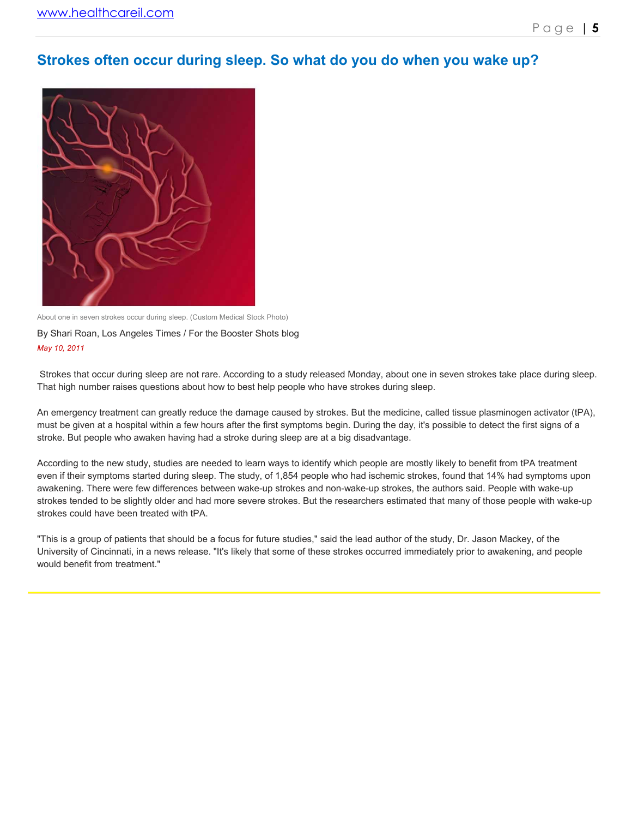## **Strokes often occur during sleep. So what do you do when you wake up?**



About one in seven strokes occur during sleep. (Custom Medical Stock Photo)

By Shari Roan, Los Angeles Times / For the Booster Shots blog

#### *May 10, 2011*

 Strokes that occur during sleep are not rare. According to a study released Monday, about one in seven strokes take place during sleep. That high number raises questions about how to best help people who have strokes during sleep.

An emergency treatment can greatly reduce the damage caused by strokes. But the medicine, called tissue plasminogen activator (tPA), must be given at a hospital within a few hours after the first symptoms begin. During the day, it's possible to detect the first signs of a stroke. But people who awaken having had a stroke during sleep are at a big disadvantage.

According to the new study, studies are needed to learn ways to identify which people are mostly likely to benefit from tPA treatment even if their symptoms started during sleep. The study, of 1,854 people who had ischemic strokes, found that 14% had symptoms upon awakening. There were few differences between wake-up strokes and non-wake-up strokes, the authors said. People with wake-up strokes tended to be slightly older and had more severe strokes. But the researchers estimated that many of those people with wake-up strokes could have been treated with tPA.

"This is a group of patients that should be a focus for future studies," said the lead author of the study, Dr. Jason Mackey, of the University of Cincinnati, in a news release. "It's likely that some of these strokes occurred immediately prior to awakening, and people would benefit from treatment."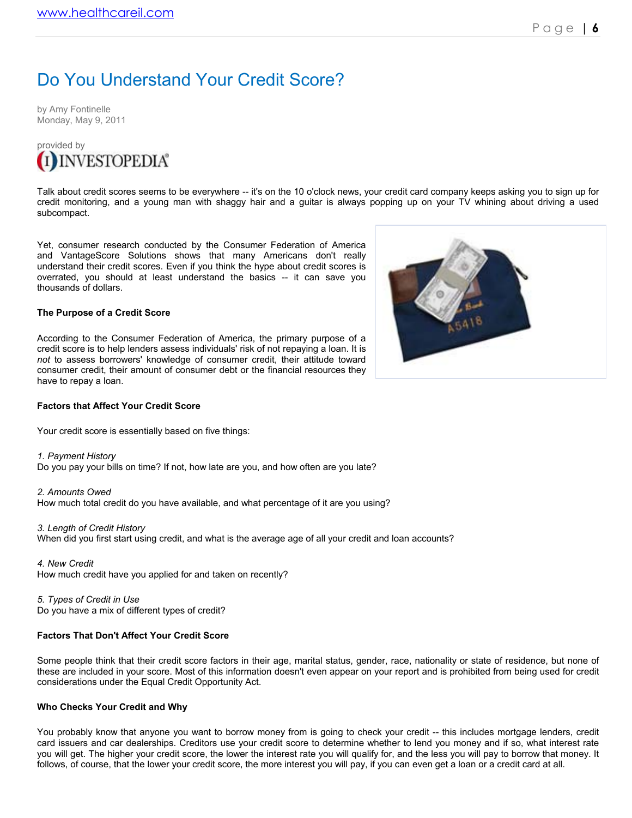# Do You Understand Your Credit Score?

by Amy Fontinelle Monday, May 9, 2011

## provided by **INVESTOPEDIA®**

Talk about credit scores seems to be everywhere -- it's on the 10 o'clock news, your credit card company keeps asking you to sign up for credit monitoring, and a young man with shaggy hair and a guitar is always popping up on your TV whining about driving a used subcompact.

Yet, consumer research conducted by the Consumer Federation of America and VantageScore Solutions shows that many Americans don't really understand their credit scores. Even if you think the hype about credit scores is overrated, you should at least understand the basics -- it can save you thousands of dollars.

#### **The Purpose of a Credit Score**

According to the Consumer Federation of America, the primary purpose of a credit score is to help lenders assess individuals' risk of not repaying a loan. It is *not* to assess borrowers' knowledge of consumer credit, their attitude toward consumer credit, their amount of consumer debt or the financial resources they have to repay a loan.

#### **Factors that Affect Your Credit Score**

Your credit score is essentially based on five things:

*1. Payment History*

Do you pay your bills on time? If not, how late are you, and how often are you late?

*2. Amounts Owed* How much total credit do you have available, and what percentage of it are you using?

*3. Length of Credit History* When did you first start using credit, and what is the average age of all your credit and loan accounts?

*4. New Credit* How much credit have you applied for and taken on recently?

*5. Types of Credit in Use* Do you have a mix of different types of credit?

#### **Factors That Don't Affect Your Credit Score**

Some people think that their credit score factors in their age, marital status, gender, race, nationality or state of residence, but none of these are included in your score. Most of this information doesn't even appear on your report and is prohibited from being used for credit considerations under the Equal Credit Opportunity Act.

#### **Who Checks Your Credit and Why**

You probably know that anyone you want to borrow money from is going to check your credit -- this includes mortgage lenders, credit card issuers and car dealerships. Creditors use your credit score to determine whether to lend you money and if so, what interest rate you will get. The higher your credit score, the lower the interest rate you will qualify for, and the less you will pay to borrow that money. It follows, of course, that the lower your credit score, the more interest you will pay, if you can even get a loan or a credit card at all.

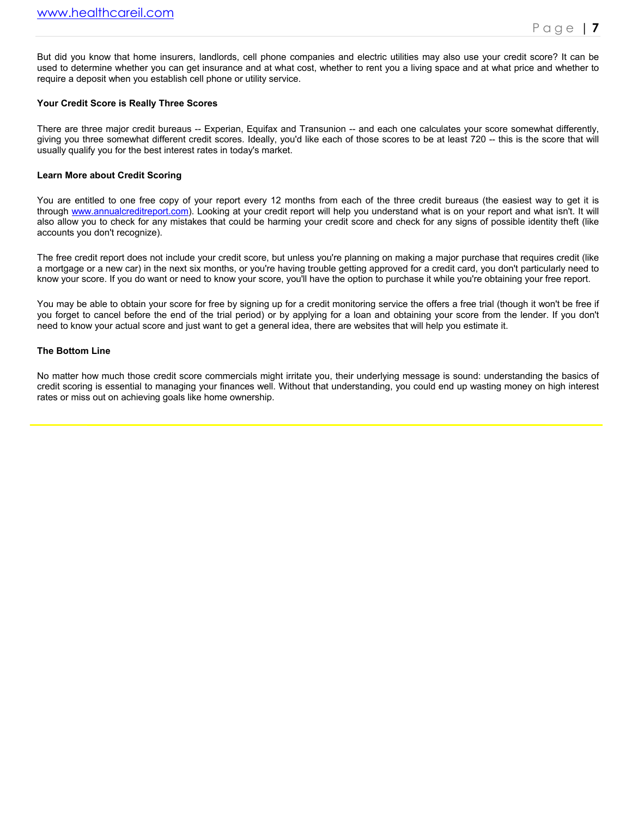But did you know that home insurers, landlords, cell phone companies and electric utilities may also use your credit score? It can be used to determine whether you can get insurance and at what cost, whether to rent you a living space and at what price and whether to require a deposit when you establish cell phone or utility service.

#### **Your Credit Score is Really Three Scores**

There are three major credit bureaus -- Experian, Equifax and Transunion -- and each one calculates your score somewhat differently, giving you three somewhat different credit scores. Ideally, you'd like each of those scores to be at least 720 -- this is the score that will usually qualify you for the best interest rates in today's market.

#### **Learn More about Credit Scoring**

You are entitled to one free copy of your report every 12 months from each of the three credit bureaus (the easiest way to get it is through www.annualcreditreport.com). Looking at your credit report will help you understand what is on your report and what isn't. It will also allow you to check for any mistakes that could be harming your credit score and check for any signs of possible identity theft (like accounts you don't recognize).

The free credit report does not include your credit score, but unless you're planning on making a major purchase that requires credit (like a mortgage or a new car) in the next six months, or you're having trouble getting approved for a credit card, you don't particularly need to know your score. If you do want or need to know your score, you'll have the option to purchase it while you're obtaining your free report.

You may be able to obtain your score for free by signing up for a credit monitoring service the offers a free trial (though it won't be free if you forget to cancel before the end of the trial period) or by applying for a loan and obtaining your score from the lender. If you don't need to know your actual score and just want to get a general idea, there are websites that will help you estimate it.

#### **The Bottom Line**

No matter how much those credit score commercials might irritate you, their underlying message is sound: understanding the basics of credit scoring is essential to managing your finances well. Without that understanding, you could end up wasting money on high interest rates or miss out on achieving goals like home ownership.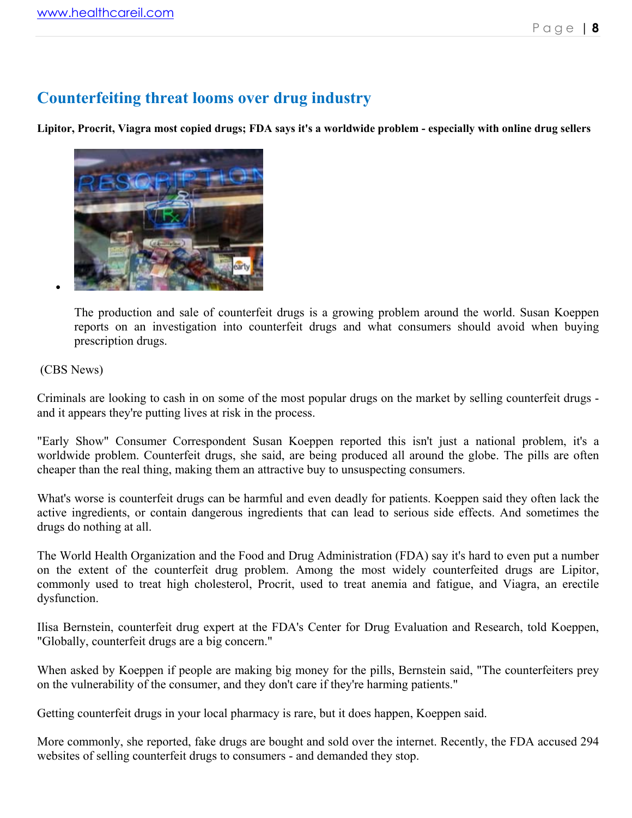## **Counterfeiting threat looms over drug industry**

**Lipitor, Procrit, Viagra most copied drugs; FDA says it's a worldwide problem - especially with online drug sellers** 



The production and sale of counterfeit drugs is a growing problem around the world. Susan Koeppen reports on an investigation into counterfeit drugs and what consumers should avoid when buying prescription drugs.

## (CBS News)

Criminals are looking to cash in on some of the most popular drugs on the market by selling counterfeit drugs and it appears they're putting lives at risk in the process.

"Early Show" Consumer Correspondent Susan Koeppen reported this isn't just a national problem, it's a worldwide problem. Counterfeit drugs, she said, are being produced all around the globe. The pills are often cheaper than the real thing, making them an attractive buy to unsuspecting consumers.

What's worse is counterfeit drugs can be harmful and even deadly for patients. Koeppen said they often lack the active ingredients, or contain dangerous ingredients that can lead to serious side effects. And sometimes the drugs do nothing at all.

The World Health Organization and the Food and Drug Administration (FDA) say it's hard to even put a number on the extent of the counterfeit drug problem. Among the most widely counterfeited drugs are Lipitor, commonly used to treat high cholesterol, Procrit, used to treat anemia and fatigue, and Viagra, an erectile dysfunction.

Ilisa Bernstein, counterfeit drug expert at the FDA's Center for Drug Evaluation and Research, told Koeppen, "Globally, counterfeit drugs are a big concern."

When asked by Koeppen if people are making big money for the pills, Bernstein said, "The counterfeiters prey on the vulnerability of the consumer, and they don't care if they're harming patients."

Getting counterfeit drugs in your local pharmacy is rare, but it does happen, Koeppen said.

More commonly, she reported, fake drugs are bought and sold over the internet. Recently, the FDA accused 294 websites of selling counterfeit drugs to consumers - and demanded they stop.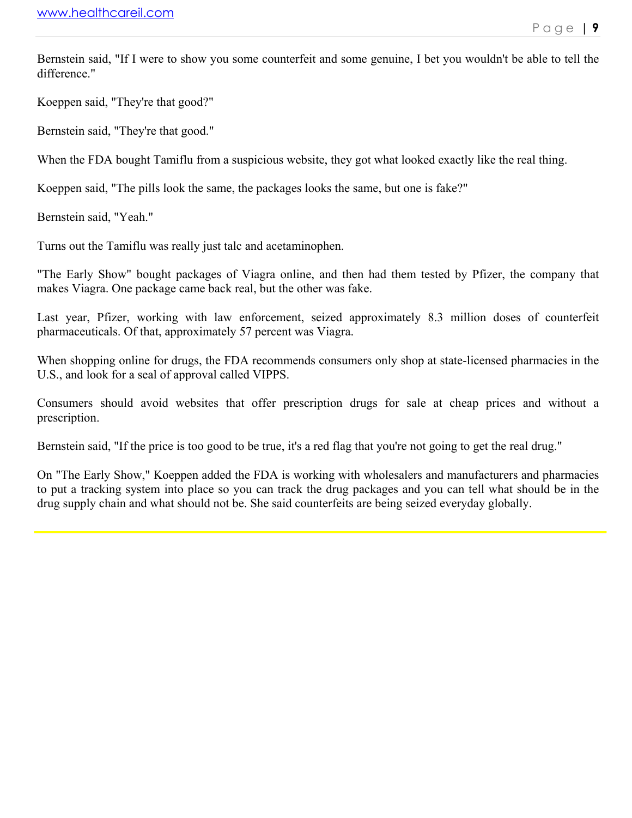Bernstein said, "If I were to show you some counterfeit and some genuine, I bet you wouldn't be able to tell the difference "

Koeppen said, "They're that good?"

Bernstein said, "They're that good."

When the FDA bought Tamiflu from a suspicious website, they got what looked exactly like the real thing.

Koeppen said, "The pills look the same, the packages looks the same, but one is fake?"

Bernstein said, "Yeah."

Turns out the Tamiflu was really just talc and acetaminophen.

"The Early Show" bought packages of Viagra online, and then had them tested by Pfizer, the company that makes Viagra. One package came back real, but the other was fake.

Last year, Pfizer, working with law enforcement, seized approximately 8.3 million doses of counterfeit pharmaceuticals. Of that, approximately 57 percent was Viagra.

When shopping online for drugs, the FDA recommends consumers only shop at state-licensed pharmacies in the U.S., and look for a seal of approval called VIPPS.

Consumers should avoid websites that offer prescription drugs for sale at cheap prices and without a prescription.

Bernstein said, "If the price is too good to be true, it's a red flag that you're not going to get the real drug."

On "The Early Show," Koeppen added the FDA is working with wholesalers and manufacturers and pharmacies to put a tracking system into place so you can track the drug packages and you can tell what should be in the drug supply chain and what should not be. She said counterfeits are being seized everyday globally.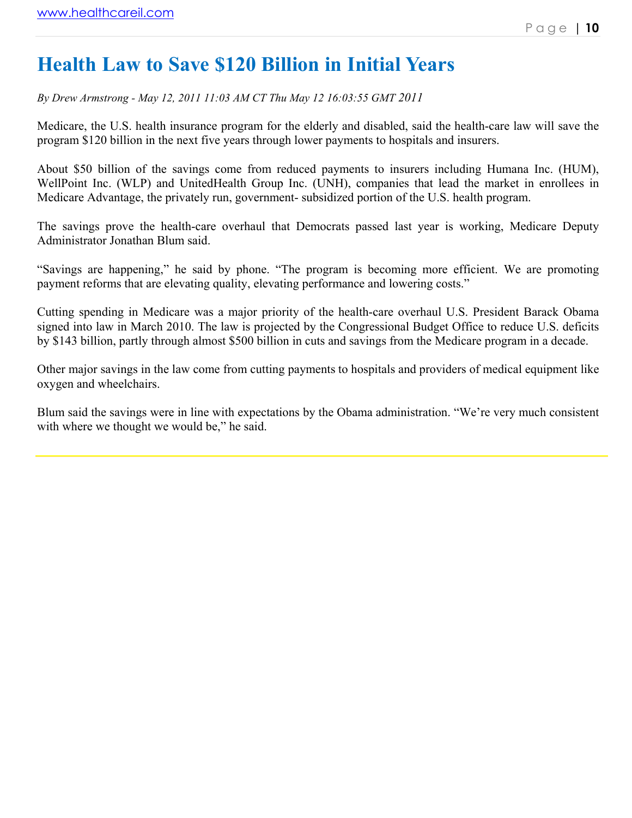# **Health Law to Save \$120 Billion in Initial Years**

*By Drew Armstrong - May 12, 2011 11:03 AM CT Thu May 12 16:03:55 GMT 2011* 

Medicare, the U.S. health insurance program for the elderly and disabled, said the health-care law will save the program \$120 billion in the next five years through lower payments to hospitals and insurers.

About \$50 billion of the savings come from reduced payments to insurers including Humana Inc. (HUM), WellPoint Inc. (WLP) and UnitedHealth Group Inc. (UNH), companies that lead the market in enrollees in Medicare Advantage, the privately run, government- subsidized portion of the U.S. health program.

The savings prove the health-care overhaul that Democrats passed last year is working, Medicare Deputy Administrator Jonathan Blum said.

"Savings are happening," he said by phone. "The program is becoming more efficient. We are promoting payment reforms that are elevating quality, elevating performance and lowering costs."

Cutting spending in Medicare was a major priority of the health-care overhaul U.S. President Barack Obama signed into law in March 2010. The law is projected by the Congressional Budget Office to reduce U.S. deficits by \$143 billion, partly through almost \$500 billion in cuts and savings from the Medicare program in a decade.

Other major savings in the law come from cutting payments to hospitals and providers of medical equipment like oxygen and wheelchairs.

Blum said the savings were in line with expectations by the Obama administration. "We're very much consistent with where we thought we would be," he said.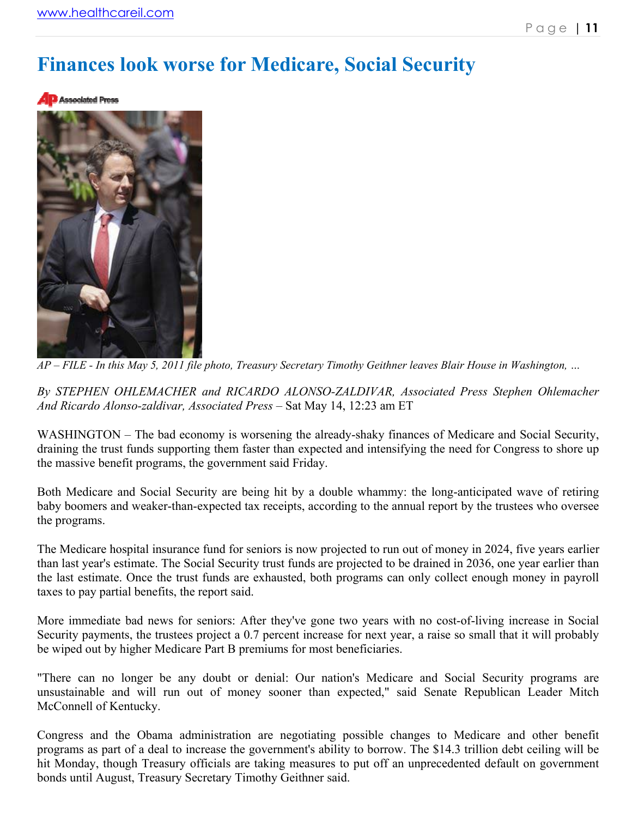# **Finances look worse for Medicare, Social Security**





*AP – FILE - In this May 5, 2011 file photo, Treasury Secretary Timothy Geithner leaves Blair House in Washington, …* 

*By STEPHEN OHLEMACHER and RICARDO ALONSO-ZALDIVAR, Associated Press Stephen Ohlemacher And Ricardo Alonso-zaldivar, Associated Press* – Sat May 14, 12:23 am ET

WASHINGTON – The bad economy is worsening the already-shaky finances of Medicare and Social Security, draining the trust funds supporting them faster than expected and intensifying the need for Congress to shore up the massive benefit programs, the government said Friday.

Both Medicare and Social Security are being hit by a double whammy: the long-anticipated wave of retiring baby boomers and weaker-than-expected tax receipts, according to the annual report by the trustees who oversee the programs.

The Medicare hospital insurance fund for seniors is now projected to run out of money in 2024, five years earlier than last year's estimate. The Social Security trust funds are projected to be drained in 2036, one year earlier than the last estimate. Once the trust funds are exhausted, both programs can only collect enough money in payroll taxes to pay partial benefits, the report said.

More immediate bad news for seniors: After they've gone two years with no cost-of-living increase in Social Security payments, the trustees project a 0.7 percent increase for next year, a raise so small that it will probably be wiped out by higher Medicare Part B premiums for most beneficiaries.

"There can no longer be any doubt or denial: Our nation's Medicare and Social Security programs are unsustainable and will run out of money sooner than expected," said Senate Republican Leader Mitch McConnell of Kentucky.

Congress and the Obama administration are negotiating possible changes to Medicare and other benefit programs as part of a deal to increase the government's ability to borrow. The \$14.3 trillion debt ceiling will be hit Monday, though Treasury officials are taking measures to put off an unprecedented default on government bonds until August, Treasury Secretary Timothy Geithner said.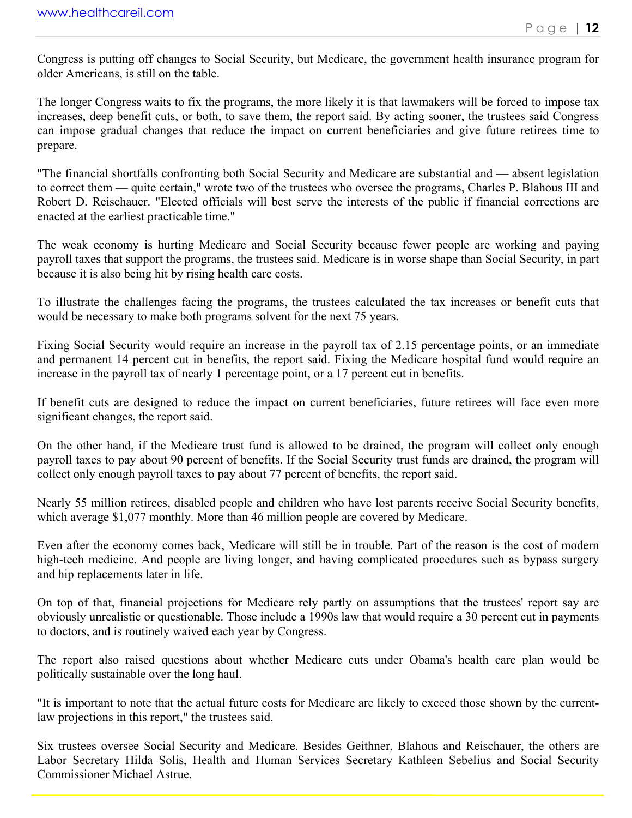Congress is putting off changes to Social Security, but Medicare, the government health insurance program for older Americans, is still on the table.

The longer Congress waits to fix the programs, the more likely it is that lawmakers will be forced to impose tax increases, deep benefit cuts, or both, to save them, the report said. By acting sooner, the trustees said Congress can impose gradual changes that reduce the impact on current beneficiaries and give future retirees time to prepare.

"The financial shortfalls confronting both Social Security and Medicare are substantial and — absent legislation to correct them — quite certain," wrote two of the trustees who oversee the programs, Charles P. Blahous III and Robert D. Reischauer. "Elected officials will best serve the interests of the public if financial corrections are enacted at the earliest practicable time."

The weak economy is hurting Medicare and Social Security because fewer people are working and paying payroll taxes that support the programs, the trustees said. Medicare is in worse shape than Social Security, in part because it is also being hit by rising health care costs.

To illustrate the challenges facing the programs, the trustees calculated the tax increases or benefit cuts that would be necessary to make both programs solvent for the next 75 years.

Fixing Social Security would require an increase in the payroll tax of 2.15 percentage points, or an immediate and permanent 14 percent cut in benefits, the report said. Fixing the Medicare hospital fund would require an increase in the payroll tax of nearly 1 percentage point, or a 17 percent cut in benefits.

If benefit cuts are designed to reduce the impact on current beneficiaries, future retirees will face even more significant changes, the report said.

On the other hand, if the Medicare trust fund is allowed to be drained, the program will collect only enough payroll taxes to pay about 90 percent of benefits. If the Social Security trust funds are drained, the program will collect only enough payroll taxes to pay about 77 percent of benefits, the report said.

Nearly 55 million retirees, disabled people and children who have lost parents receive Social Security benefits, which average \$1,077 monthly. More than 46 million people are covered by Medicare.

Even after the economy comes back, Medicare will still be in trouble. Part of the reason is the cost of modern high-tech medicine. And people are living longer, and having complicated procedures such as bypass surgery and hip replacements later in life.

On top of that, financial projections for Medicare rely partly on assumptions that the trustees' report say are obviously unrealistic or questionable. Those include a 1990s law that would require a 30 percent cut in payments to doctors, and is routinely waived each year by Congress.

The report also raised questions about whether Medicare cuts under Obama's health care plan would be politically sustainable over the long haul.

"It is important to note that the actual future costs for Medicare are likely to exceed those shown by the currentlaw projections in this report," the trustees said.

Six trustees oversee Social Security and Medicare. Besides Geithner, Blahous and Reischauer, the others are Labor Secretary Hilda Solis, Health and Human Services Secretary Kathleen Sebelius and Social Security Commissioner Michael Astrue.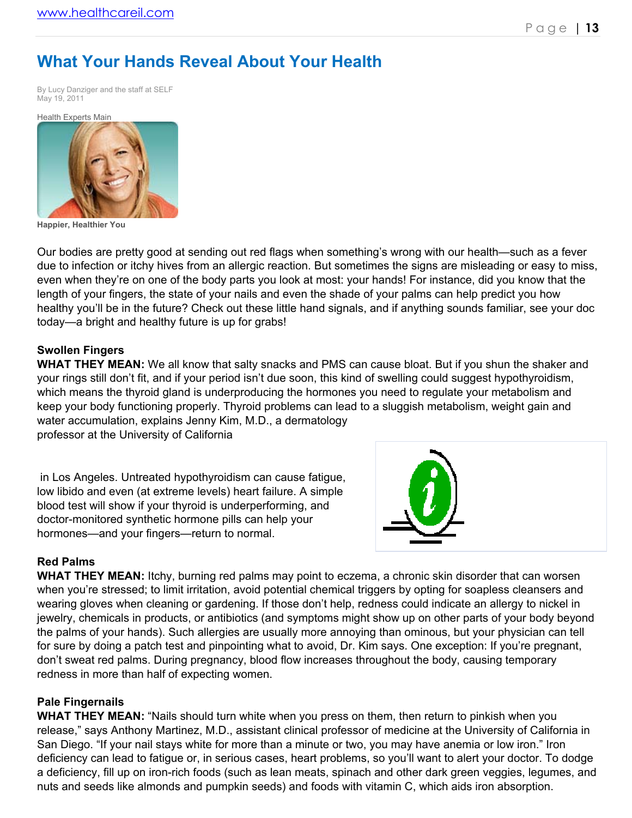## **What Your Hands Reveal About Your Health**

By Lucy Danziger and the staff at SELF May 19, 2011

Health Experts Main



**Happier, Healthier You** 

Our bodies are pretty good at sending out red flags when something's wrong with our health—such as a fever due to infection or itchy hives from an allergic reaction. But sometimes the signs are misleading or easy to miss, even when they're on one of the body parts you look at most: your hands! For instance, did you know that the length of your fingers, the state of your nails and even the shade of your palms can help predict you how healthy you'll be in the future? Check out these little hand signals, and if anything sounds familiar, see your doc today—a bright and healthy future is up for grabs!

### **Swollen Fingers**

**WHAT THEY MEAN:** We all know that salty snacks and PMS can cause bloat. But if you shun the shaker and your rings still don't fit, and if your period isn't due soon, this kind of swelling could suggest hypothyroidism, which means the thyroid gland is underproducing the hormones you need to regulate your metabolism and keep your body functioning properly. Thyroid problems can lead to a sluggish metabolism, weight gain and water accumulation, explains Jenny Kim, M.D., a dermatology professor at the University of California

 in Los Angeles. Untreated hypothyroidism can cause fatigue, low libido and even (at extreme levels) heart failure. A simple blood test will show if your thyroid is underperforming, and doctor-monitored synthetic hormone pills can help your hormones—and your fingers—return to normal.



## **Red Palms**

**WHAT THEY MEAN:** Itchy, burning red palms may point to eczema, a chronic skin disorder that can worsen when you're stressed; to limit irritation, avoid potential chemical triggers by opting for soapless cleansers and wearing gloves when cleaning or gardening. If those don't help, redness could indicate an allergy to nickel in jewelry, chemicals in products, or antibiotics (and symptoms might show up on other parts of your body beyond the palms of your hands). Such allergies are usually more annoying than ominous, but your physician can tell for sure by doing a patch test and pinpointing what to avoid, Dr. Kim says. One exception: If you're pregnant, don't sweat red palms. During pregnancy, blood flow increases throughout the body, causing temporary redness in more than half of expecting women.

### **Pale Fingernails**

**WHAT THEY MEAN:** "Nails should turn white when you press on them, then return to pinkish when you release," says Anthony Martinez, M.D., assistant clinical professor of medicine at the University of California in San Diego. "If your nail stays white for more than a minute or two, you may have anemia or low iron." Iron deficiency can lead to fatigue or, in serious cases, heart problems, so you'll want to alert your doctor. To dodge a deficiency, fill up on iron-rich foods (such as lean meats, spinach and other dark green veggies, legumes, and nuts and seeds like almonds and pumpkin seeds) and foods with vitamin C, which aids iron absorption.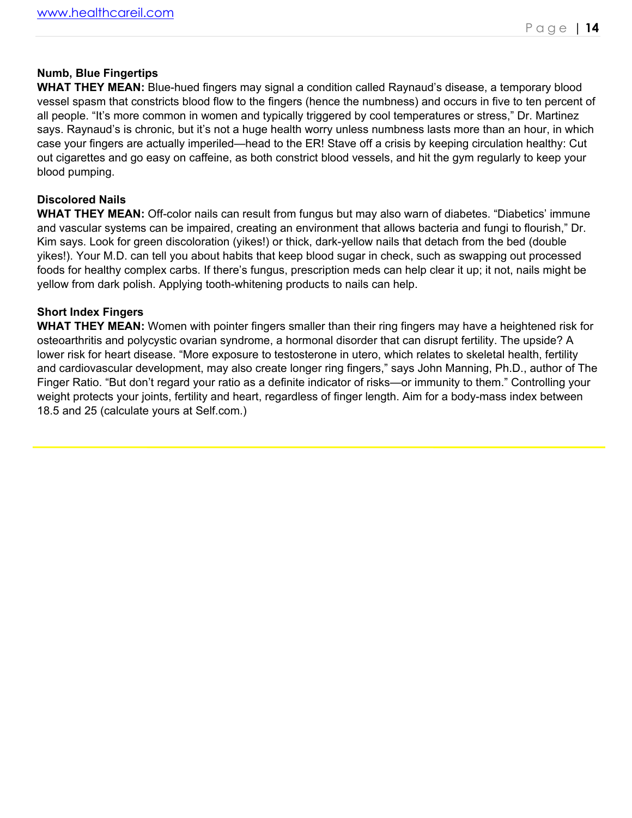### **Numb, Blue Fingertips**

**WHAT THEY MEAN:** Blue-hued fingers may signal a condition called Raynaud's disease, a temporary blood vessel spasm that constricts blood flow to the fingers (hence the numbness) and occurs in five to ten percent of all people. "It's more common in women and typically triggered by cool temperatures or stress," Dr. Martinez says. Raynaud's is chronic, but it's not a huge health worry unless numbness lasts more than an hour, in which case your fingers are actually imperiled—head to the ER! Stave off a crisis by keeping circulation healthy: Cut out cigarettes and go easy on caffeine, as both constrict blood vessels, and hit the gym regularly to keep your blood pumping.

### **Discolored Nails**

**WHAT THEY MEAN:** Off-color nails can result from fungus but may also warn of diabetes. "Diabetics' immune and vascular systems can be impaired, creating an environment that allows bacteria and fungi to flourish," Dr. Kim says. Look for green discoloration (yikes!) or thick, dark-yellow nails that detach from the bed (double yikes!). Your M.D. can tell you about habits that keep blood sugar in check, such as swapping out processed foods for healthy complex carbs. If there's fungus, prescription meds can help clear it up; it not, nails might be yellow from dark polish. Applying tooth-whitening products to nails can help.

### **Short Index Fingers**

**WHAT THEY MEAN:** Women with pointer fingers smaller than their ring fingers may have a heightened risk for osteoarthritis and polycystic ovarian syndrome, a hormonal disorder that can disrupt fertility. The upside? A lower risk for heart disease. "More exposure to testosterone in utero, which relates to skeletal health, fertility and cardiovascular development, may also create longer ring fingers," says John Manning, Ph.D., author of The Finger Ratio. "But don't regard your ratio as a definite indicator of risks—or immunity to them." Controlling your weight protects your joints, fertility and heart, regardless of finger length. Aim for a body-mass index between 18.5 and 25 (calculate yours at Self.com.)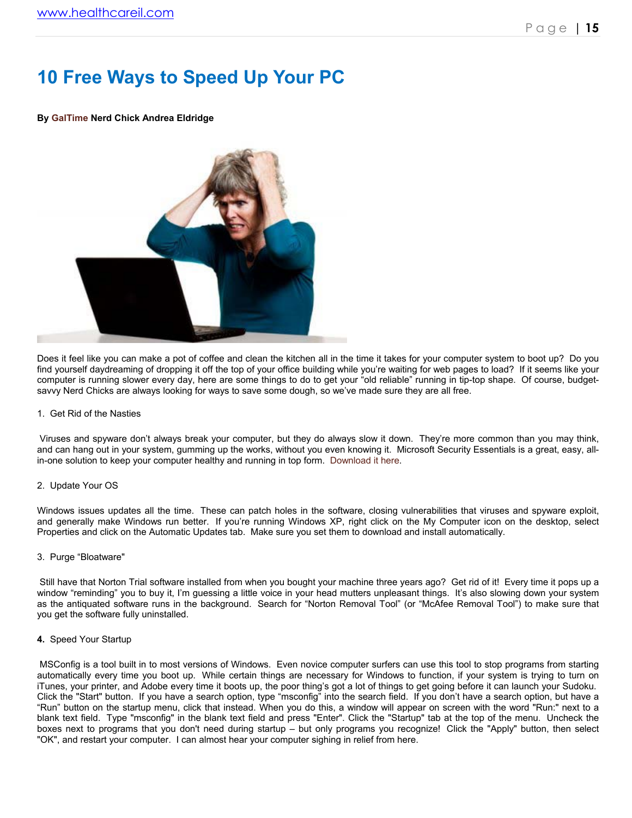# **10 Free Ways to Speed Up Your PC**

**By GalTime Nerd Chick Andrea Eldridge**



Does it feel like you can make a pot of coffee and clean the kitchen all in the time it takes for your computer system to boot up? Do you find yourself daydreaming of dropping it off the top of your office building while you're waiting for web pages to load? If it seems like your computer is running slower every day, here are some things to do to get your "old reliable" running in tip-top shape. Of course, budgetsavvy Nerd Chicks are always looking for ways to save some dough, so we've made sure they are all free.

#### 1. Get Rid of the Nasties

 Viruses and spyware don't always break your computer, but they do always slow it down. They're more common than you may think, and can hang out in your system, gumming up the works, without you even knowing it. Microsoft Security Essentials is a great, easy, allin-one solution to keep your computer healthy and running in top form. Download it here.

#### 2. Update Your OS

Windows issues updates all the time. These can patch holes in the software, closing vulnerabilities that viruses and spyware exploit, and generally make Windows run better. If you're running Windows XP, right click on the My Computer icon on the desktop, select Properties and click on the Automatic Updates tab. Make sure you set them to download and install automatically.

#### 3. Purge "Bloatware"

 Still have that Norton Trial software installed from when you bought your machine three years ago? Get rid of it! Every time it pops up a window "reminding" you to buy it, I'm guessing a little voice in your head mutters unpleasant things. It's also slowing down your system as the antiquated software runs in the background. Search for "Norton Removal Tool" (or "McAfee Removal Tool") to make sure that you get the software fully uninstalled.

#### **4.** Speed Your Startup

 MSConfig is a tool built in to most versions of Windows. Even novice computer surfers can use this tool to stop programs from starting automatically every time you boot up. While certain things are necessary for Windows to function, if your system is trying to turn on iTunes, your printer, and Adobe every time it boots up, the poor thing's got a lot of things to get going before it can launch your Sudoku. Click the "Start" button. If you have a search option, type "msconfig" into the search field. If you don't have a search option, but have a "Run" button on the startup menu, click that instead. When you do this, a window will appear on screen with the word "Run:" next to a blank text field. Type "msconfig" in the blank text field and press "Enter". Click the "Startup" tab at the top of the menu. Uncheck the boxes next to programs that you don't need during startup – but only programs you recognize! Click the "Apply" button, then select "OK", and restart your computer. I can almost hear your computer sighing in relief from here.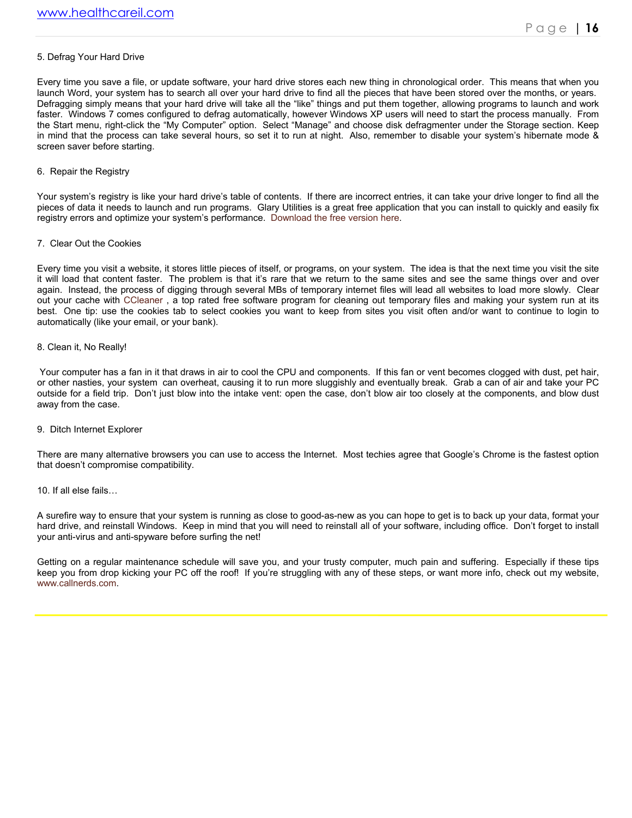#### 5. Defrag Your Hard Drive

Every time you save a file, or update software, your hard drive stores each new thing in chronological order. This means that when you launch Word, your system has to search all over your hard drive to find all the pieces that have been stored over the months, or years. Defragging simply means that your hard drive will take all the "like" things and put them together, allowing programs to launch and work faster. Windows 7 comes configured to defrag automatically, however Windows XP users will need to start the process manually. From the Start menu, right-click the "My Computer" option. Select "Manage" and choose disk defragmenter under the Storage section. Keep in mind that the process can take several hours, so set it to run at night. Also, remember to disable your system's hibernate mode & screen saver before starting.

#### 6. Repair the Registry

Your system's registry is like your hard drive's table of contents. If there are incorrect entries, it can take your drive longer to find all the pieces of data it needs to launch and run programs. Glary Utilities is a great free application that you can install to quickly and easily fix registry errors and optimize your system's performance. Download the free version here.

#### 7. Clear Out the Cookies

Every time you visit a website, it stores little pieces of itself, or programs, on your system. The idea is that the next time you visit the site it will load that content faster. The problem is that it's rare that we return to the same sites and see the same things over and over again. Instead, the process of digging through several MBs of temporary internet files will lead all websites to load more slowly. Clear out your cache with CCleaner , a top rated free software program for cleaning out temporary files and making your system run at its best. One tip: use the cookies tab to select cookies you want to keep from sites you visit often and/or want to continue to login to automatically (like your email, or your bank).

#### 8. Clean it, No Really!

Your computer has a fan in it that draws in air to cool the CPU and components. If this fan or vent becomes clogged with dust, pet hair, or other nasties, your system can overheat, causing it to run more sluggishly and eventually break. Grab a can of air and take your PC outside for a field trip. Don't just blow into the intake vent: open the case, don't blow air too closely at the components, and blow dust away from the case.

#### 9. Ditch Internet Explorer

There are many alternative browsers you can use to access the Internet. Most techies agree that Google's Chrome is the fastest option that doesn't compromise compatibility.

#### 10. If all else fails…

A surefire way to ensure that your system is running as close to good-as-new as you can hope to get is to back up your data, format your hard drive, and reinstall Windows. Keep in mind that you will need to reinstall all of your software, including office. Don't forget to install your anti-virus and anti-spyware before surfing the net!

Getting on a regular maintenance schedule will save you, and your trusty computer, much pain and suffering. Especially if these tips keep you from drop kicking your PC off the roof! If you're struggling with any of these steps, or want more info, check out my website, www.callnerds.com.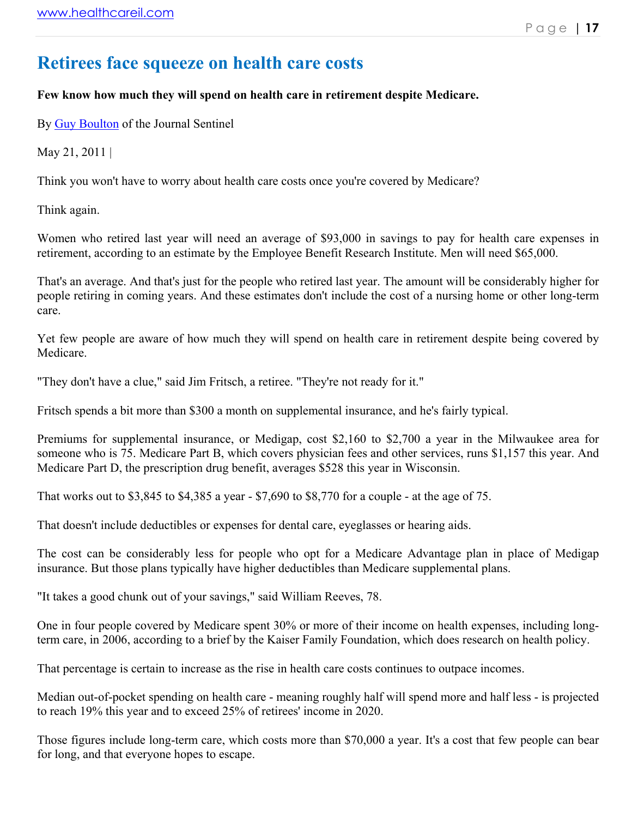## **Retirees face squeeze on health care costs**

## **Few know how much they will spend on health care in retirement despite Medicare.**

By Guy Boulton of the Journal Sentinel

May 21, 2011 |

Think you won't have to worry about health care costs once you're covered by Medicare?

Think again.

Women who retired last year will need an average of \$93,000 in savings to pay for health care expenses in retirement, according to an estimate by the Employee Benefit Research Institute. Men will need \$65,000.

That's an average. And that's just for the people who retired last year. The amount will be considerably higher for people retiring in coming years. And these estimates don't include the cost of a nursing home or other long-term care.

Yet few people are aware of how much they will spend on health care in retirement despite being covered by Medicare.

"They don't have a clue," said Jim Fritsch, a retiree. "They're not ready for it."

Fritsch spends a bit more than \$300 a month on supplemental insurance, and he's fairly typical.

Premiums for supplemental insurance, or Medigap, cost \$2,160 to \$2,700 a year in the Milwaukee area for someone who is 75. Medicare Part B, which covers physician fees and other services, runs \$1,157 this year. And Medicare Part D, the prescription drug benefit, averages \$528 this year in Wisconsin.

That works out to \$3,845 to \$4,385 a year - \$7,690 to \$8,770 for a couple - at the age of 75.

That doesn't include deductibles or expenses for dental care, eyeglasses or hearing aids.

The cost can be considerably less for people who opt for a Medicare Advantage plan in place of Medigap insurance. But those plans typically have higher deductibles than Medicare supplemental plans.

"It takes a good chunk out of your savings," said William Reeves, 78.

One in four people covered by Medicare spent 30% or more of their income on health expenses, including longterm care, in 2006, according to a brief by the Kaiser Family Foundation, which does research on health policy.

That percentage is certain to increase as the rise in health care costs continues to outpace incomes.

Median out-of-pocket spending on health care - meaning roughly half will spend more and half less - is projected to reach 19% this year and to exceed 25% of retirees' income in 2020.

Those figures include long-term care, which costs more than \$70,000 a year. It's a cost that few people can bear for long, and that everyone hopes to escape.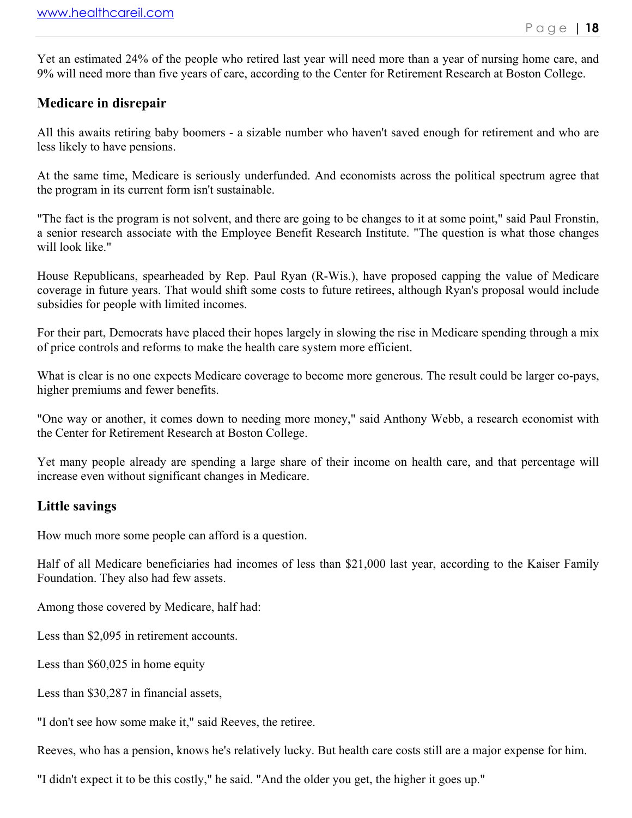Yet an estimated 24% of the people who retired last year will need more than a year of nursing home care, and 9% will need more than five years of care, according to the Center for Retirement Research at Boston College.

## **Medicare in disrepair**

All this awaits retiring baby boomers - a sizable number who haven't saved enough for retirement and who are less likely to have pensions.

At the same time, Medicare is seriously underfunded. And economists across the political spectrum agree that the program in its current form isn't sustainable.

"The fact is the program is not solvent, and there are going to be changes to it at some point," said Paul Fronstin, a senior research associate with the Employee Benefit Research Institute. "The question is what those changes will look like."

House Republicans, spearheaded by Rep. Paul Ryan (R-Wis.), have proposed capping the value of Medicare coverage in future years. That would shift some costs to future retirees, although Ryan's proposal would include subsidies for people with limited incomes.

For their part, Democrats have placed their hopes largely in slowing the rise in Medicare spending through a mix of price controls and reforms to make the health care system more efficient.

What is clear is no one expects Medicare coverage to become more generous. The result could be larger co-pays, higher premiums and fewer benefits.

"One way or another, it comes down to needing more money," said Anthony Webb, a research economist with the Center for Retirement Research at Boston College.

Yet many people already are spending a large share of their income on health care, and that percentage will increase even without significant changes in Medicare.

## **Little savings**

How much more some people can afford is a question.

Half of all Medicare beneficiaries had incomes of less than \$21,000 last year, according to the Kaiser Family Foundation. They also had few assets.

Among those covered by Medicare, half had:

Less than \$2,095 in retirement accounts.

Less than \$60,025 in home equity

Less than \$30,287 in financial assets,

"I don't see how some make it," said Reeves, the retiree.

Reeves, who has a pension, knows he's relatively lucky. But health care costs still are a major expense for him.

"I didn't expect it to be this costly," he said. "And the older you get, the higher it goes up."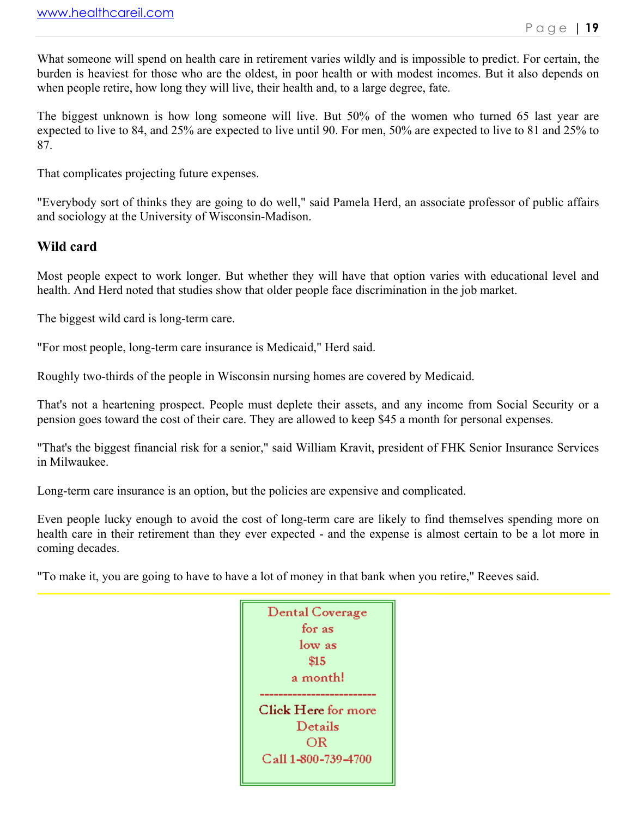What someone will spend on health care in retirement varies wildly and is impossible to predict. For certain, the burden is heaviest for those who are the oldest, in poor health or with modest incomes. But it also depends on when people retire, how long they will live, their health and, to a large degree, fate.

The biggest unknown is how long someone will live. But 50% of the women who turned 65 last year are expected to live to 84, and 25% are expected to live until 90. For men, 50% are expected to live to 81 and 25% to 87.

That complicates projecting future expenses.

"Everybody sort of thinks they are going to do well," said Pamela Herd, an associate professor of public affairs and sociology at the University of Wisconsin-Madison.

## **Wild card**

Most people expect to work longer. But whether they will have that option varies with educational level and health. And Herd noted that studies show that older people face discrimination in the job market.

The biggest wild card is long-term care.

"For most people, long-term care insurance is Medicaid," Herd said.

Roughly two-thirds of the people in Wisconsin nursing homes are covered by Medicaid.

That's not a heartening prospect. People must deplete their assets, and any income from Social Security or a pension goes toward the cost of their care. They are allowed to keep \$45 a month for personal expenses.

"That's the biggest financial risk for a senior," said William Kravit, president of FHK Senior Insurance Services in Milwaukee.

Long-term care insurance is an option, but the policies are expensive and complicated.

Even people lucky enough to avoid the cost of long-term care are likely to find themselves spending more on health care in their retirement than they ever expected - and the expense is almost certain to be a lot more in coming decades.

"To make it, you are going to have to have a lot of money in that bank when you retire," Reeves said.

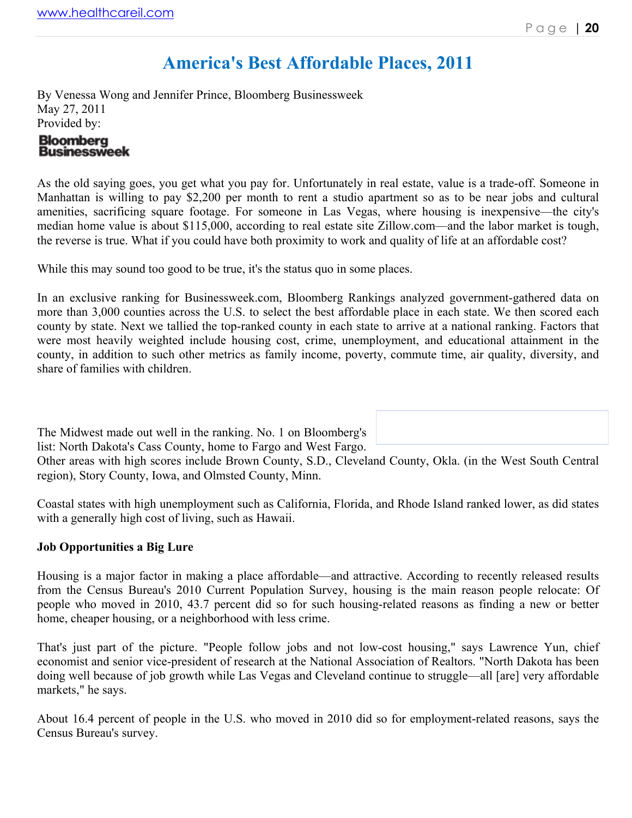## **America's Best Affordable Places, 2011**

By Venessa Wong and Jennifer Prince, Bloomberg Businessweek May 27, 2011 Provided by:

# Bloomberg<br>Businessweek

As the old saying goes, you get what you pay for. Unfortunately in real estate, value is a trade-off. Someone in Manhattan is willing to pay \$2,200 per month to rent a studio apartment so as to be near jobs and cultural amenities, sacrificing square footage. For someone in Las Vegas, where housing is inexpensive—the city's median home value is about \$115,000, according to real estate site Zillow.com—and the labor market is tough, the reverse is true. What if you could have both proximity to work and quality of life at an affordable cost?

While this may sound too good to be true, it's the status quo in some places.

In an exclusive ranking for Businessweek.com, Bloomberg Rankings analyzed government-gathered data on more than 3,000 counties across the U.S. to select the best affordable place in each state. We then scored each county by state. Next we tallied the top-ranked county in each state to arrive at a national ranking. Factors that were most heavily weighted include housing cost, crime, unemployment, and educational attainment in the county, in addition to such other metrics as family income, poverty, commute time, air quality, diversity, and share of families with children.

The Midwest made out well in the ranking. No. 1 on Bloomberg's list: North Dakota's Cass County, home to Fargo and West Fargo.

Other areas with high scores include Brown County, S.D., Cleveland County, Okla. (in the West South Central region), Story County, Iowa, and Olmsted County, Minn.

Coastal states with high unemployment such as California, Florida, and Rhode Island ranked lower, as did states with a generally high cost of living, such as Hawaii.

## **Job Opportunities a Big Lure**

Housing is a major factor in making a place affordable—and attractive. According to recently released results from the Census Bureau's 2010 Current Population Survey, housing is the main reason people relocate: Of people who moved in 2010, 43.7 percent did so for such housing-related reasons as finding a new or better home, cheaper housing, or a neighborhood with less crime.

That's just part of the picture. "People follow jobs and not low-cost housing," says Lawrence Yun, chief economist and senior vice-president of research at the National Association of Realtors. "North Dakota has been doing well because of job growth while Las Vegas and Cleveland continue to struggle—all [are] very affordable markets," he says.

About 16.4 percent of people in the U.S. who moved in 2010 did so for employment-related reasons, says the Census Bureau's survey.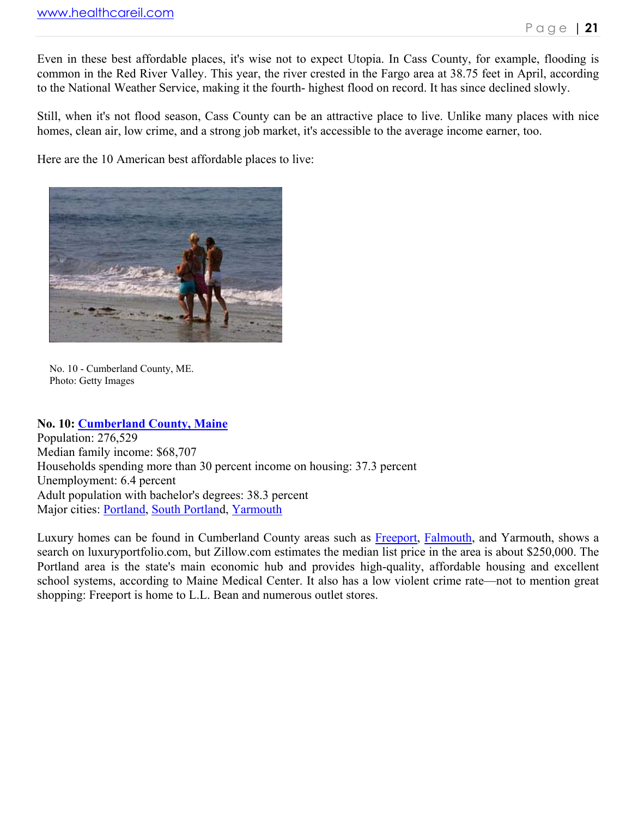Even in these best affordable places, it's wise not to expect Utopia. In Cass County, for example, flooding is common in the Red River Valley. This year, the river crested in the Fargo area at 38.75 feet in April, according to the National Weather Service, making it the fourth- highest flood on record. It has since declined slowly.

Still, when it's not flood season, Cass County can be an attractive place to live. Unlike many places with nice homes, clean air, low crime, and a strong job market, it's accessible to the average income earner, too.

Here are the 10 American best affordable places to live:



No. 10 - Cumberland County, ME. Photo: Getty Images

### **No. 10: Cumberland County, Maine**

Population: 276,529 Median family income: \$68,707 Households spending more than 30 percent income on housing: 37.3 percent Unemployment: 6.4 percent Adult population with bachelor's degrees: 38.3 percent Major cities: Portland, South Portland, Yarmouth

Luxury homes can be found in Cumberland County areas such as **Freeport**, Falmouth, and Yarmouth, shows a search on luxuryportfolio.com, but Zillow.com estimates the median list price in the area is about \$250,000. The Portland area is the state's main economic hub and provides high-quality, affordable housing and excellent school systems, according to Maine Medical Center. It also has a low violent crime rate—not to mention great shopping: Freeport is home to L.L. Bean and numerous outlet stores.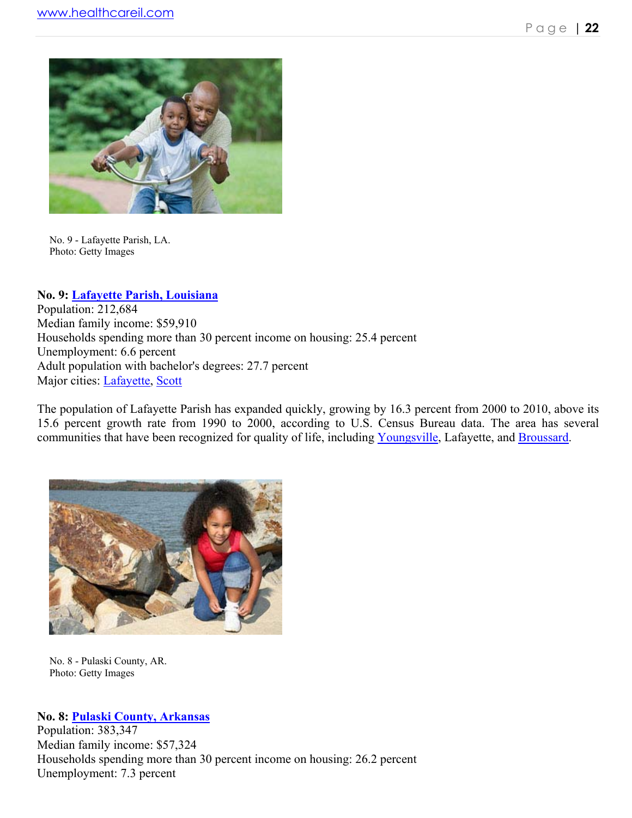

No. 9 - Lafayette Parish, LA. Photo: Getty Images

**No. 9: Lafayette Parish, Louisiana** Population: 212,684 Median family income: \$59,910 Households spending more than 30 percent income on housing: 25.4 percent Unemployment: 6.6 percent Adult population with bachelor's degrees: 27.7 percent Major cities: Lafayette, Scott

The population of Lafayette Parish has expanded quickly, growing by 16.3 percent from 2000 to 2010, above its 15.6 percent growth rate from 1990 to 2000, according to U.S. Census Bureau data. The area has several communities that have been recognized for quality of life, including Youngsville, Lafayette, and Broussard.



No. 8 - Pulaski County, AR. Photo: Getty Images

## **No. 8: Pulaski County, Arkansas**

Population: 383,347 Median family income: \$57,324 Households spending more than 30 percent income on housing: 26.2 percent Unemployment: 7.3 percent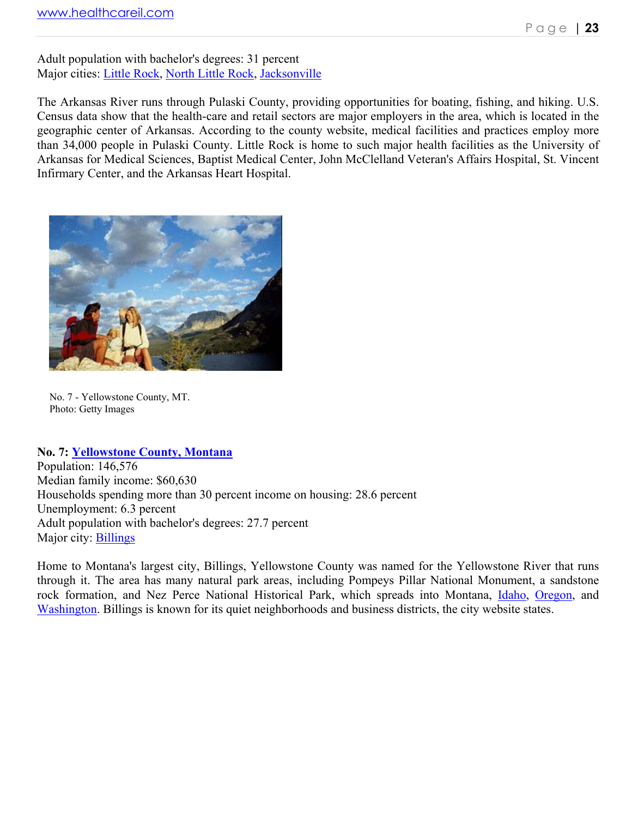Adult population with bachelor's degrees: 31 percent Major cities: Little Rock, North Little Rock, Jacksonville

The Arkansas River runs through Pulaski County, providing opportunities for boating, fishing, and hiking. U.S. Census data show that the health-care and retail sectors are major employers in the area, which is located in the geographic center of Arkansas. According to the county website, medical facilities and practices employ more than 34,000 people in Pulaski County. Little Rock is home to such major health facilities as the University of Arkansas for Medical Sciences, Baptist Medical Center, John McClelland Veteran's Affairs Hospital, St. Vincent Infirmary Center, and the Arkansas Heart Hospital.



No. 7 - Yellowstone County, MT. Photo: Getty Images

## **No. 7: Yellowstone County, Montana**

Population: 146,576 Median family income: \$60,630 Households spending more than 30 percent income on housing: 28.6 percent Unemployment: 6.3 percent Adult population with bachelor's degrees: 27.7 percent Major city: Billings

Home to Montana's largest city, Billings, Yellowstone County was named for the Yellowstone River that runs through it. The area has many natural park areas, including Pompeys Pillar National Monument, a sandstone rock formation, and Nez Perce National Historical Park, which spreads into Montana, *Idaho*, *Oregon*, and Washington. Billings is known for its quiet neighborhoods and business districts, the city website states.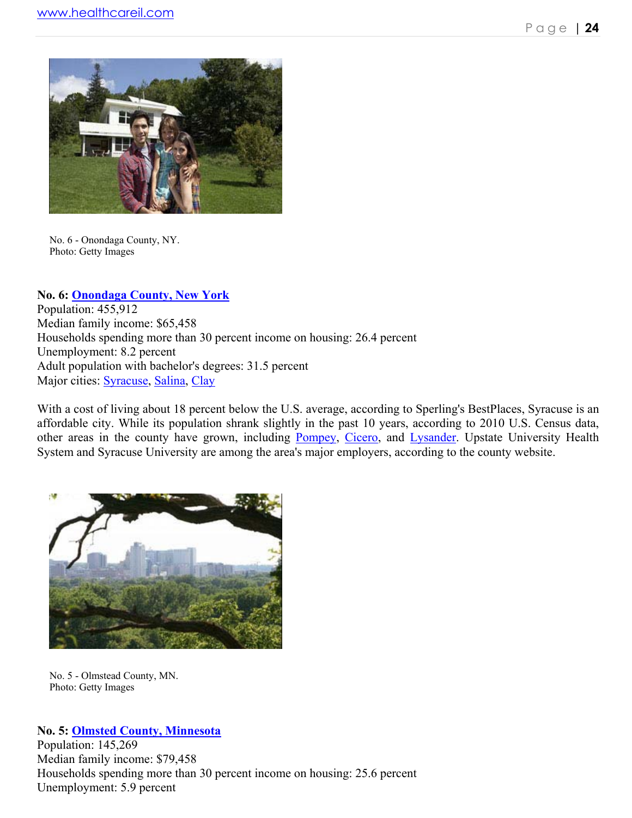

No. 6 - Onondaga County, NY. Photo: Getty Images

**No. 6: Onondaga County, New York** Population: 455,912 Median family income: \$65,458 Households spending more than 30 percent income on housing: 26.4 percent Unemployment: 8.2 percent Adult population with bachelor's degrees: 31.5 percent Major cities: Syracuse, Salina, Clay

With a cost of living about 18 percent below the U.S. average, according to Sperling's BestPlaces, Syracuse is an affordable city. While its population shrank slightly in the past 10 years, according to 2010 U.S. Census data, other areas in the county have grown, including Pompey, Cicero, and Lysander. Upstate University Health System and Syracuse University are among the area's major employers, according to the county website.



No. 5 - Olmstead County, MN. Photo: Getty Images

## **No. 5: Olmsted County, Minnesota**

Population: 145,269 Median family income: \$79,458 Households spending more than 30 percent income on housing: 25.6 percent Unemployment: 5.9 percent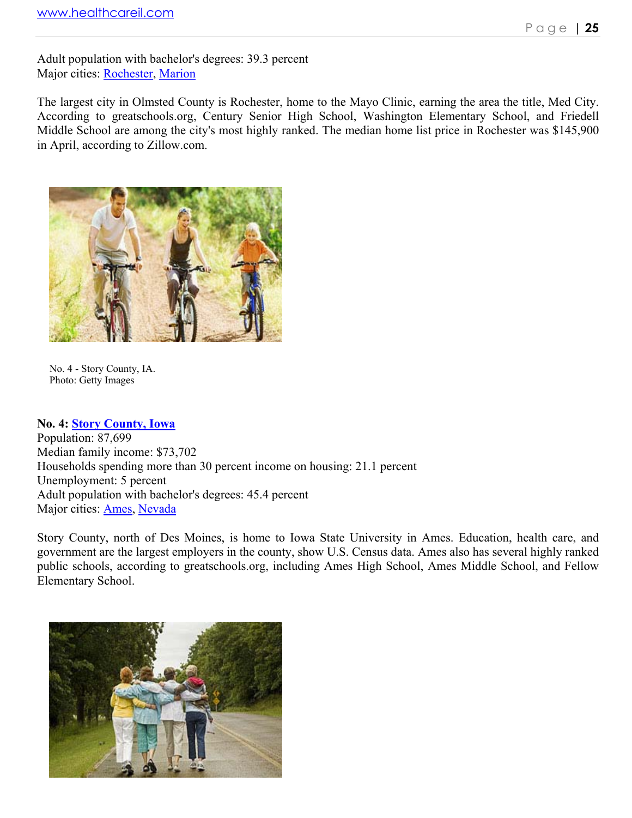Adult population with bachelor's degrees: 39.3 percent Major cities: Rochester, Marion

The largest city in Olmsted County is Rochester, home to the Mayo Clinic, earning the area the title, Med City. According to greatschools.org, Century Senior High School, Washington Elementary School, and Friedell Middle School are among the city's most highly ranked. The median home list price in Rochester was \$145,900 in April, according to Zillow.com.



No. 4 - Story County, IA. Photo: Getty Images

## **No. 4: Story County, Iowa**

Population: 87,699 Median family income: \$73,702 Households spending more than 30 percent income on housing: 21.1 percent Unemployment: 5 percent Adult population with bachelor's degrees: 45.4 percent Major cities: Ames, Nevada

Story County, north of Des Moines, is home to Iowa State University in Ames. Education, health care, and government are the largest employers in the county, show U.S. Census data. Ames also has several highly ranked public schools, according to greatschools.org, including Ames High School, Ames Middle School, and Fellow Elementary School.

![](_page_24_Picture_9.jpeg)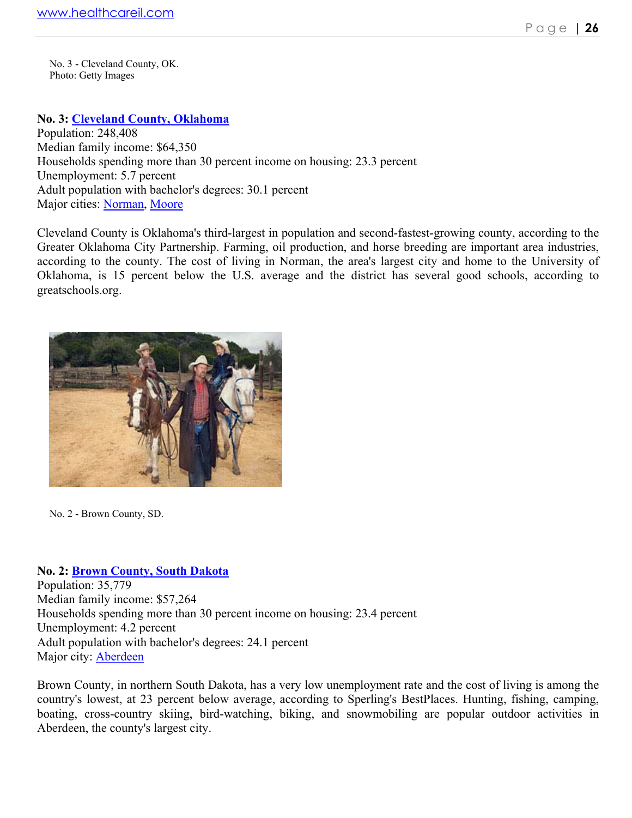No. 3 - Cleveland County, OK. Photo: Getty Images

## **No. 3: Cleveland County, Oklahoma**

Population: 248,408 Median family income: \$64,350 Households spending more than 30 percent income on housing: 23.3 percent Unemployment: 5.7 percent Adult population with bachelor's degrees: 30.1 percent Major cities: Norman, Moore

Cleveland County is Oklahoma's third-largest in population and second-fastest-growing county, according to the Greater Oklahoma City Partnership. Farming, oil production, and horse breeding are important area industries, according to the county. The cost of living in Norman, the area's largest city and home to the University of Oklahoma, is 15 percent below the U.S. average and the district has several good schools, according to greatschools.org.

![](_page_25_Picture_6.jpeg)

No. 2 - Brown County, SD.

### **No. 2: Brown County, South Dakota**

Population: 35,779 Median family income: \$57,264 Households spending more than 30 percent income on housing: 23.4 percent Unemployment: 4.2 percent Adult population with bachelor's degrees: 24.1 percent Major city: Aberdeen

Brown County, in northern South Dakota, has a very low unemployment rate and the cost of living is among the country's lowest, at 23 percent below average, according to Sperling's BestPlaces. Hunting, fishing, camping, boating, cross-country skiing, bird-watching, biking, and snowmobiling are popular outdoor activities in Aberdeen, the county's largest city.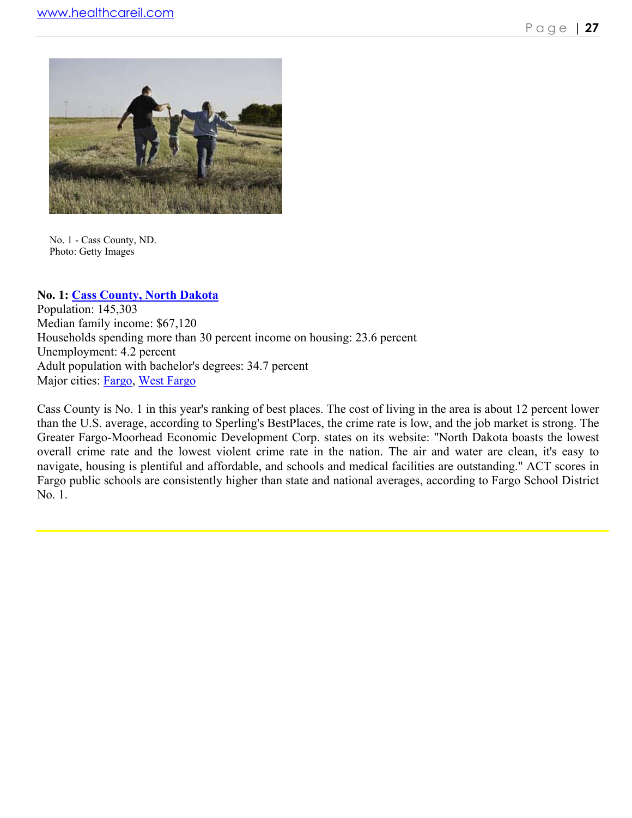![](_page_26_Picture_2.jpeg)

No. 1 - Cass County, ND. Photo: Getty Images

**No. 1: Cass County, North Dakota** Population: 145,303 Median family income: \$67,120 Households spending more than 30 percent income on housing: 23.6 percent Unemployment: 4.2 percent Adult population with bachelor's degrees: 34.7 percent Major cities: Fargo, West Fargo

Cass County is No. 1 in this year's ranking of best places. The cost of living in the area is about 12 percent lower than the U.S. average, according to Sperling's BestPlaces, the crime rate is low, and the job market is strong. The Greater Fargo-Moorhead Economic Development Corp. states on its website: "North Dakota boasts the lowest overall crime rate and the lowest violent crime rate in the nation. The air and water are clean, it's easy to navigate, housing is plentiful and affordable, and schools and medical facilities are outstanding." ACT scores in Fargo public schools are consistently higher than state and national averages, according to Fargo School District No. 1.